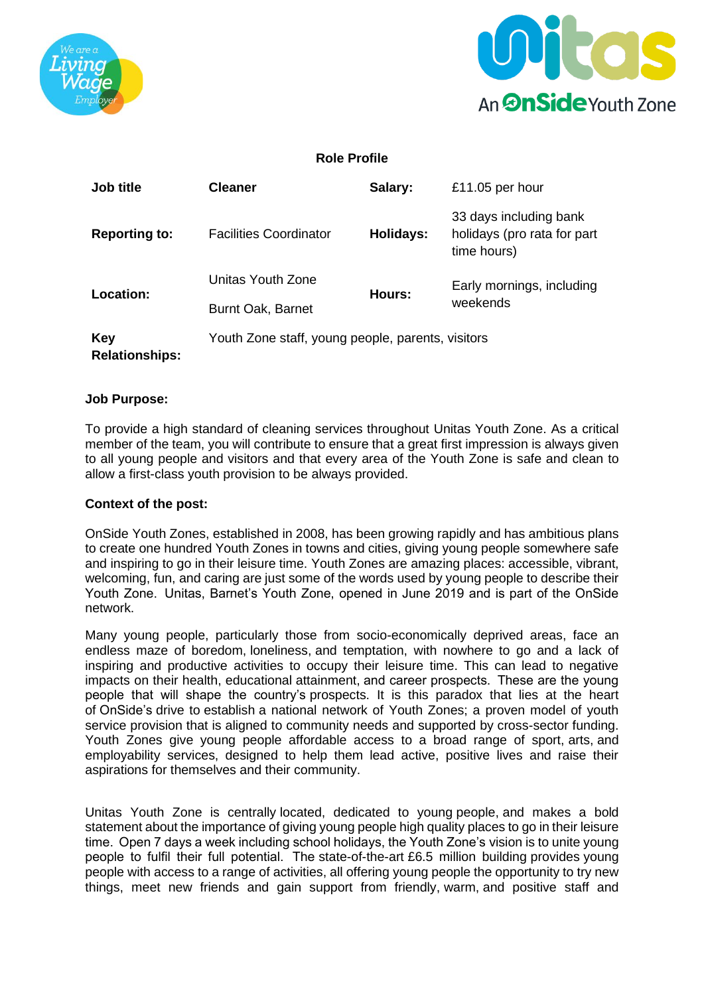



## **Role Profile**

| Job title                    | <b>Cleaner</b>                                    | Salary:   | £11.05 per hour                                                      |  |
|------------------------------|---------------------------------------------------|-----------|----------------------------------------------------------------------|--|
| <b>Reporting to:</b>         | <b>Facilities Coordinator</b>                     | Holidays: | 33 days including bank<br>holidays (pro rata for part<br>time hours) |  |
| <b>Location:</b>             | Unitas Youth Zone                                 | Hours:    | Early mornings, including<br>weekends                                |  |
|                              | Burnt Oak, Barnet                                 |           |                                                                      |  |
| Key<br><b>Relationships:</b> | Youth Zone staff, young people, parents, visitors |           |                                                                      |  |

#### **Job Purpose:**

To provide a high standard of cleaning services throughout Unitas Youth Zone. As a critical member of the team, you will contribute to ensure that a great first impression is always given to all young people and visitors and that every area of the Youth Zone is safe and clean to allow a first-class youth provision to be always provided.

### **Context of the post:**

OnSide Youth Zones, established in 2008, has been growing rapidly and has ambitious plans to create one hundred Youth Zones in towns and cities, giving young people somewhere safe and inspiring to go in their leisure time. Youth Zones are amazing places: accessible, vibrant, welcoming, fun, and caring are just some of the words used by young people to describe their Youth Zone.  Unitas, Barnet's Youth Zone, opened in June 2019 and is part of the OnSide network.

Many young people, particularly those from socio-economically deprived areas, face an endless maze of boredom, loneliness, and temptation, with nowhere to go and a lack of inspiring and productive activities to occupy their leisure time. This can lead to negative impacts on their health, educational attainment, and career prospects.  These are the young people that will shape the country's prospects. It is this paradox that lies at the heart of OnSide's drive to establish a national network of Youth Zones; a proven model of youth service provision that is aligned to community needs and supported by cross-sector funding. Youth Zones give young people affordable access to a broad range of sport, arts, and employability services, designed to help them lead active, positive lives and raise their aspirations for themselves and their community.

Unitas Youth Zone is centrally located, dedicated to young people, and makes a bold statement about the importance of giving young people high quality places to go in their leisure time.  Open 7 days a week including school holidays, the Youth Zone's vision is to unite young people to fulfil their full potential.  The state-of-the-art £6.5 million building provides young people with access to a range of activities, all offering young people the opportunity to try new things, meet new friends and gain support from friendly, warm, and positive staff and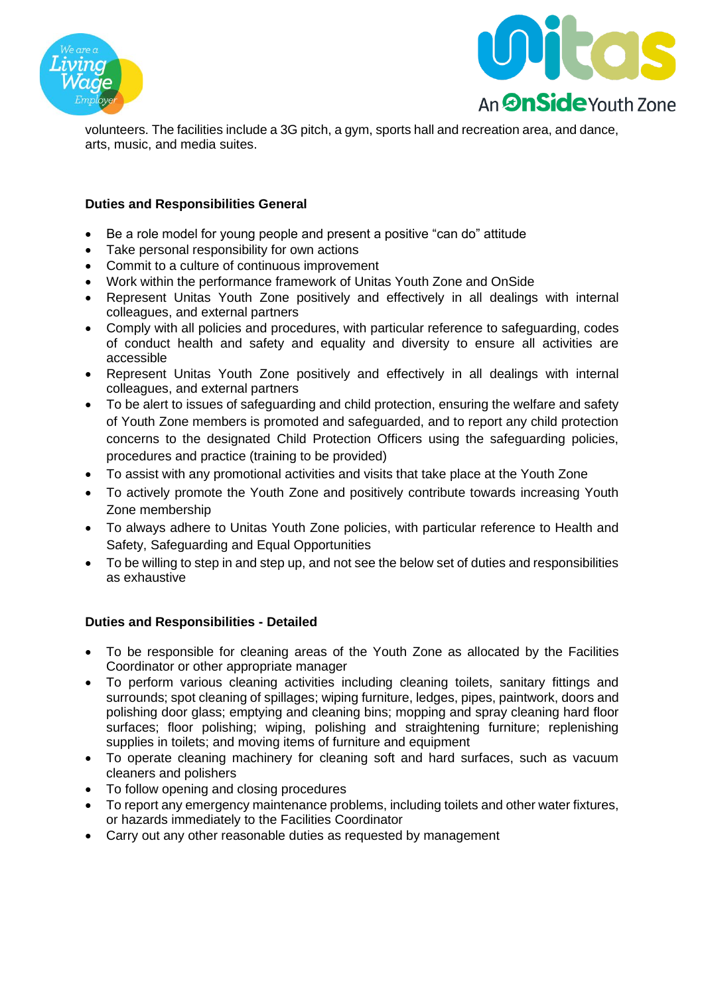



volunteers. The facilities include a 3G pitch, a gym, sports hall and recreation area, and dance, arts, music, and media suites.

## **Duties and Responsibilities General**

- Be a role model for young people and present a positive "can do" attitude
- Take personal responsibility for own actions
- Commit to a culture of continuous improvement
- Work within the performance framework of Unitas Youth Zone and OnSide
- Represent Unitas Youth Zone positively and effectively in all dealings with internal colleagues, and external partners
- Comply with all policies and procedures, with particular reference to safeguarding, codes of conduct health and safety and equality and diversity to ensure all activities are accessible
- Represent Unitas Youth Zone positively and effectively in all dealings with internal colleagues, and external partners
- To be alert to issues of safeguarding and child protection, ensuring the welfare and safety of Youth Zone members is promoted and safeguarded, and to report any child protection concerns to the designated Child Protection Officers using the safeguarding policies, procedures and practice (training to be provided)
- To assist with any promotional activities and visits that take place at the Youth Zone
- To actively promote the Youth Zone and positively contribute towards increasing Youth Zone membership
- To always adhere to Unitas Youth Zone policies, with particular reference to Health and Safety, Safeguarding and Equal Opportunities
- To be willing to step in and step up, and not see the below set of duties and responsibilities as exhaustive

## **Duties and Responsibilities - Detailed**

- To be responsible for cleaning areas of the Youth Zone as allocated by the Facilities Coordinator or other appropriate manager
- To perform various cleaning activities including cleaning toilets, sanitary fittings and surrounds; spot cleaning of spillages; wiping furniture, ledges, pipes, paintwork, doors and polishing door glass; emptying and cleaning bins; mopping and spray cleaning hard floor surfaces; floor polishing; wiping, polishing and straightening furniture; replenishing supplies in toilets; and moving items of furniture and equipment
- To operate cleaning machinery for cleaning soft and hard surfaces, such as vacuum cleaners and polishers
- To follow opening and closing procedures
- To report any emergency maintenance problems, including toilets and other water fixtures, or hazards immediately to the Facilities Coordinator
- Carry out any other reasonable duties as requested by management